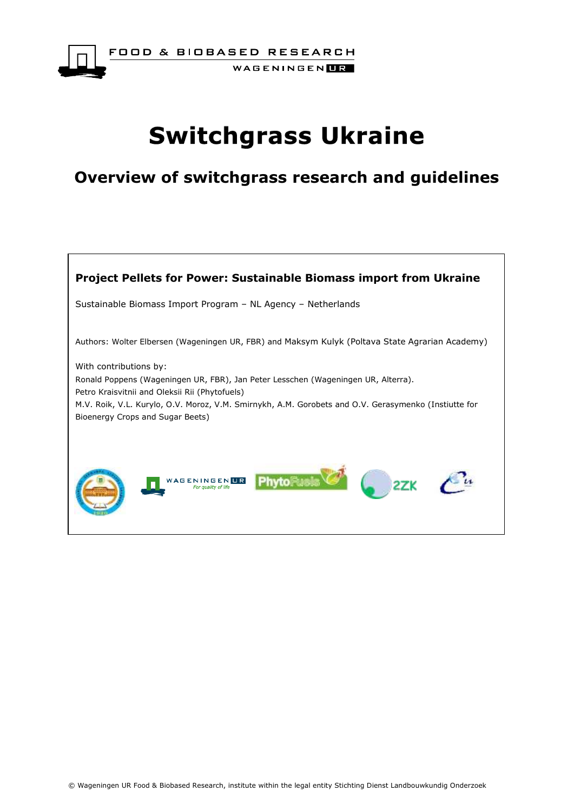

FOOD & BIOBASED RESEARCH WAGENINGEN**UR** 

# **Switchgrass Ukraine**

# **Overview of switchgrass research and guidelines**

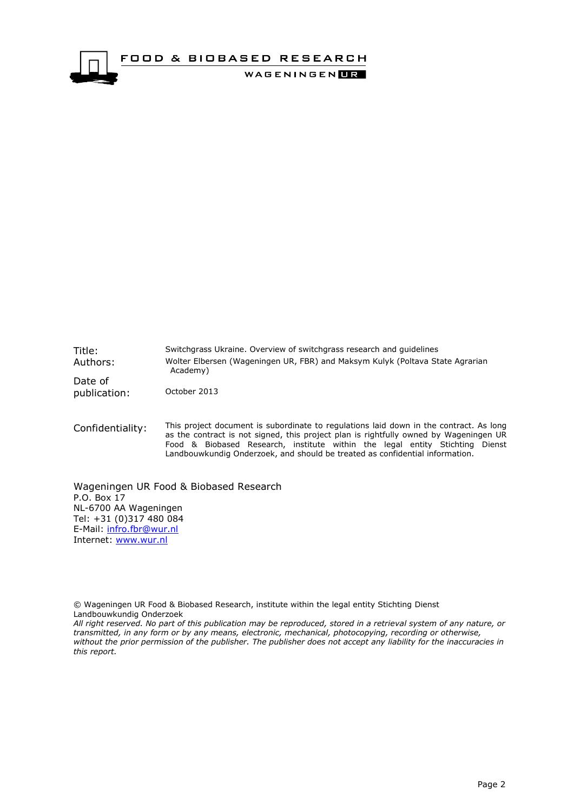

Title: Switchgrass Ukraine. Overview of switchgrass research and guidelines Authors: Wolter Elbersen (Wageningen UR, FBR) and Maksym Kulyk (Poltava State Agrarian Academy) Date of publication: October 2013

Confidentiality: This project document is subordinate to regulations laid down in the contract. As long as the contract is not signed, this project plan is rightfully owned by Wageningen UR Food & Biobased Research, institute within the legal entity Stichting Dienst Landbouwkundig Onderzoek, and should be treated as confidential information.

Wageningen UR Food & Biobased Research P.O. Box 17 NL-6700 AA Wageningen Tel: +31 (0)317 480 084 E-Mail: [infro.fbr@wur.nl](mailto:infro.fbr@wur.nl) Internet: [www.wur.nl](http://www.wur.nl/)

© Wageningen UR Food & Biobased Research, institute within the legal entity Stichting Dienst Landbouwkundig Onderzoek

*All right reserved. No part of this publication may be reproduced, stored in a retrieval system of any nature, or transmitted, in any form or by any means, electronic, mechanical, photocopying, recording or otherwise, without the prior permission of the publisher. The publisher does not accept any liability for the inaccuracies in this report.*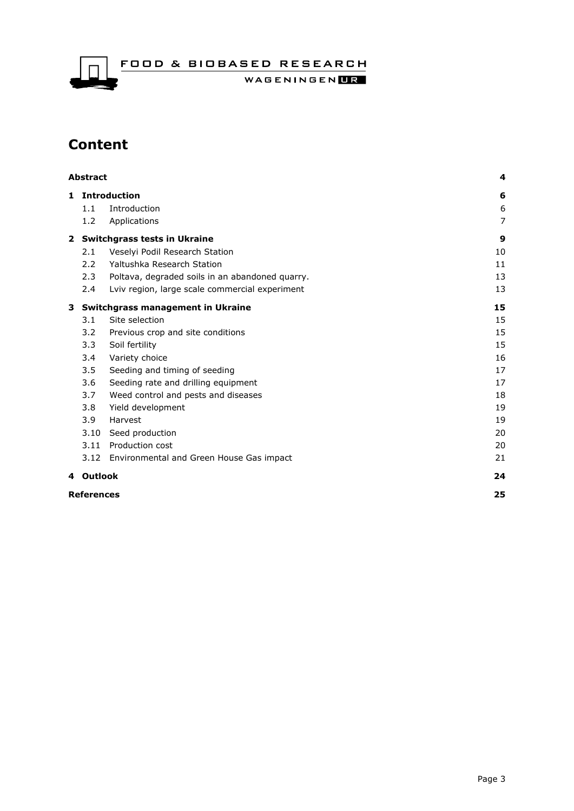FOOD & BIOBASED RESEARCH

WAGENINGENLIR

## **Content**

| <b>Abstract</b>   |                                     | 4                                               |                       |
|-------------------|-------------------------------------|-------------------------------------------------|-----------------------|
|                   | 1.1                                 | 1 Introduction<br>Introduction                  | 6<br>$\boldsymbol{6}$ |
|                   | 1.2                                 | Applications                                    | 7                     |
| $\mathbf{2}$      | <b>Switchgrass tests in Ukraine</b> | 9                                               |                       |
|                   | 2.1                                 | Veselyi Podil Research Station                  | 10                    |
|                   | 2.2                                 | Yaltushka Research Station                      | 11                    |
|                   | 2.3                                 | Poltava, degraded soils in an abandoned quarry. | 13                    |
|                   | 2.4                                 | Lyiv region, large scale commercial experiment  | 13                    |
| 3                 |                                     | Switchgrass management in Ukraine               | 15                    |
|                   | 3.1                                 | Site selection                                  | 15                    |
|                   | 3.2                                 | Previous crop and site conditions               | 15                    |
|                   | 3.3                                 | Soil fertility                                  | 15                    |
|                   | 3.4                                 | Variety choice                                  | 16                    |
|                   | 3.5                                 | Seeding and timing of seeding                   | 17                    |
|                   | 3.6                                 | Seeding rate and drilling equipment             | 17                    |
|                   | 3.7                                 | Weed control and pests and diseases             | 18                    |
|                   | 3.8                                 | Yield development                               | 19                    |
|                   | 3.9                                 | Harvest                                         | 19                    |
|                   | 3.10                                | Seed production                                 | 20                    |
|                   |                                     | 3.11 Production cost                            | 20                    |
|                   |                                     | 3.12 Environmental and Green House Gas impact   | 21                    |
|                   | 4 Outlook                           |                                                 | 24                    |
| <b>References</b> |                                     |                                                 |                       |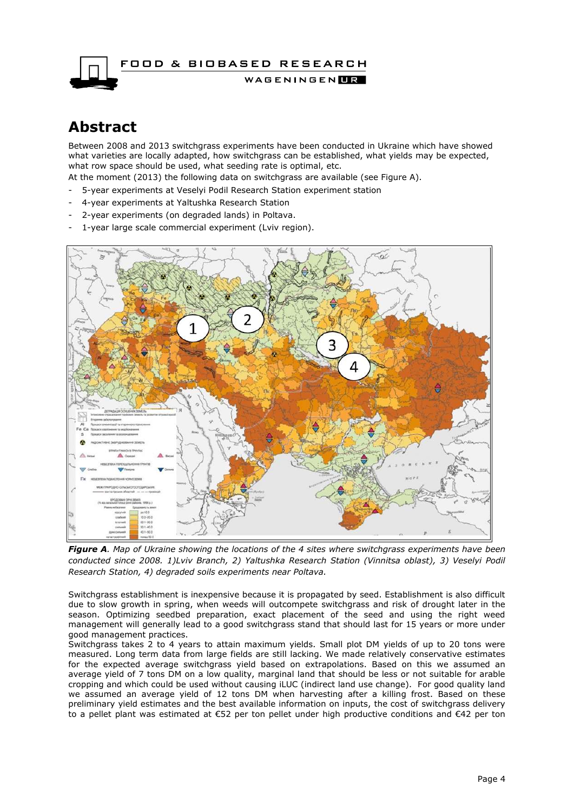

## <span id="page-3-0"></span>**Abstract**

Between 2008 and 2013 switchgrass experiments have been conducted in Ukraine which have showed what varieties are locally adapted, how switchgrass can be established, what yields may be expected, what row space should be used, what seeding rate is optimal, etc.

At the moment (2013) the following data on switchgrass are available (see Figure A).

- 5-year experiments at Veselyi Podil Research Station experiment station
- 4-year experiments at Yaltushka Research Station
- 2-year experiments (on degraded lands) in Poltava.
- 1-year large scale commercial experiment (Lviv region).



*Figure A. Map of Ukraine showing the locations of the 4 sites where switchgrass experiments have been conducted since 2008. 1)Lviv Branch, 2) Yaltushka Research Station (Vinnitsa oblast), 3) Veselyi Podil Research Station, 4) degraded soils experiments near Poltava.*

Switchgrass establishment is inexpensive because it is propagated by seed. Establishment is also difficult due to slow growth in spring, when weeds will outcompete switchgrass and risk of drought later in the season. Optimizing seedbed preparation, exact placement of the seed and using the right weed management will generally lead to a good switchgrass stand that should last for 15 years or more under good management practices.

Switchgrass takes 2 to 4 years to attain maximum yields. Small plot DM yields of up to 20 tons were measured. Long term data from large fields are still lacking. We made relatively conservative estimates for the expected average switchgrass yield based on extrapolations. Based on this we assumed an average yield of 7 tons DM on a low quality, marginal land that should be less or not suitable for arable cropping and which could be used without causing iLUC (indirect land use change). For good quality land we assumed an average yield of 12 tons DM when harvesting after a killing frost. Based on these preliminary yield estimates and the best available information on inputs, the cost of switchgrass delivery to a pellet plant was estimated at €52 per ton pellet under high productive conditions and €42 per ton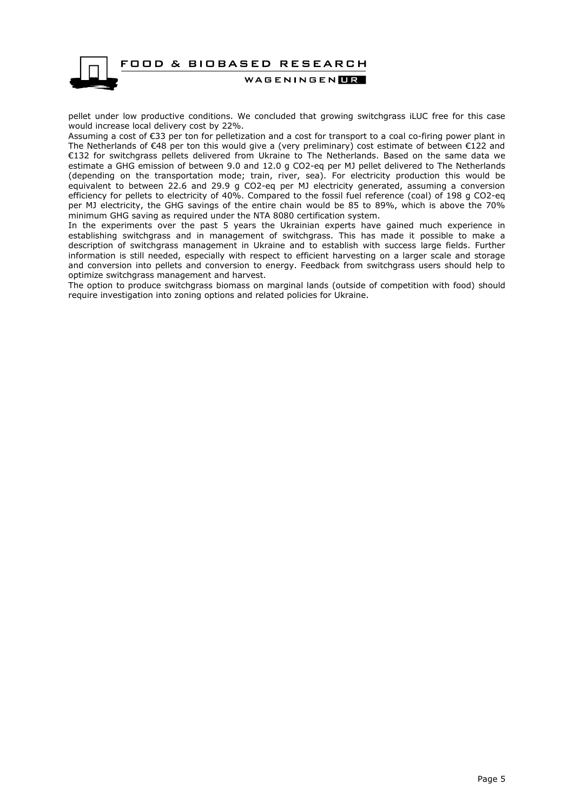

pellet under low productive conditions. We concluded that growing switchgrass iLUC free for this case would increase local delivery cost by 22%.

Assuming a cost of €33 per ton for pelletization and a cost for transport to a coal co-firing power plant in The Netherlands of €48 per ton this would give a (very preliminary) cost estimate of between €122 and €132 for switchgrass pellets delivered from Ukraine to The Netherlands. Based on the same data we estimate a GHG emission of between 9.0 and 12.0 g CO2-eq per MJ pellet delivered to The Netherlands (depending on the transportation mode; train, river, sea). For electricity production this would be equivalent to between 22.6 and 29.9 g CO2-eq per MJ electricity generated, assuming a conversion efficiency for pellets to electricity of 40%. Compared to the fossil fuel reference (coal) of 198 g CO2-eq per MJ electricity, the GHG savings of the entire chain would be 85 to 89%, which is above the 70% minimum GHG saving as required under the NTA 8080 certification system.

In the experiments over the past 5 years the Ukrainian experts have gained much experience in establishing switchgrass and in management of switchgrass. This has made it possible to make a description of switchgrass management in Ukraine and to establish with success large fields. Further information is still needed, especially with respect to efficient harvesting on a larger scale and storage and conversion into pellets and conversion to energy. Feedback from switchgrass users should help to optimize switchgrass management and harvest.

The option to produce switchgrass biomass on marginal lands (outside of competition with food) should require investigation into zoning options and related policies for Ukraine.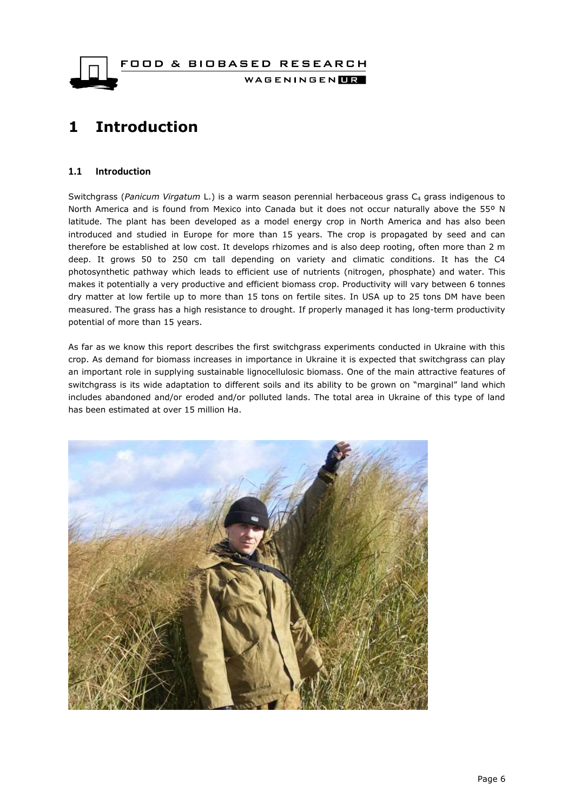FOOD & BIOBASED RESEARCH WAGENINGEN**UR** 

# <span id="page-5-0"></span>**1 Introduction**

#### <span id="page-5-1"></span>**1.1 Introduction**

Switchgrass (Panicum Virgatum L.) is a warm season perennial herbaceous grass C<sub>4</sub> grass indigenous to North America and is found from Mexico into Canada but it does not occur naturally above the 55º N latitude. The plant has been developed as a model energy crop in North America and has also been introduced and studied in Europe for more than 15 years. The crop is propagated by seed and can therefore be established at low cost. It develops rhizomes and is also deep rooting, often more than 2 m deep. It grows 50 to 250 cm tall depending on variety and climatic conditions. It has the C4 photosynthetic pathway which leads to efficient use of nutrients (nitrogen, phosphate) and water. This makes it potentially a very productive and efficient biomass crop. Productivity will vary between 6 tonnes dry matter at low fertile up to more than 15 tons on fertile sites. In USA up to 25 tons DM have been measured. The grass has a high resistance to drought. If properly managed it has long-term productivity potential of more than 15 years.

As far as we know this report describes the first switchgrass experiments conducted in Ukraine with this crop. As demand for biomass increases in importance in Ukraine it is expected that switchgrass can play an important role in supplying sustainable lignocellulosic biomass. One of the main attractive features of switchgrass is its wide adaptation to different soils and its ability to be grown on "marginal" land which includes abandoned and/or eroded and/or polluted lands. The total area in Ukraine of this type of land has been estimated at over 15 million Ha.

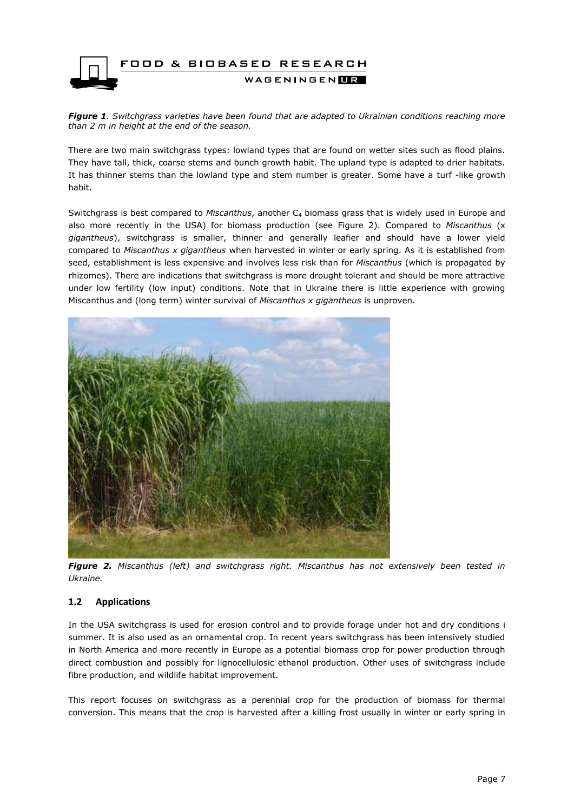

*Figure 1. Switchgrass varieties have been found that are adapted to Ukrainian conditions reaching more than 2 m in height at the end of the season.* 

There are two main switchgrass types: lowland types that are found on wetter sites such as flood plains. They have tall, thick, coarse stems and bunch growth habit. The upland type is adapted to drier habitats. It has thinner stems than the lowland type and stem number is greater. Some have a turf -like growth habit.

Switchgrass is best compared to *Miscanthus*, another C<sup>4</sup> biomass grass that is widely used in Europe and also more recently in the USA) for biomass production (see Figure 2). Compared to *Miscanthus* (x *gigantheus*), switchgrass is smaller, thinner and generally leafier and should have a lower yield compared to *Miscanthus x gigantheus* when harvested in winter or early spring. As it is established from seed, establishment is less expensive and involves less risk than for *Miscanthus* (which is propagated by rhizomes). There are indications that switchgrass is more drought tolerant and should be more attractive under low fertility (low input) conditions. Note that in Ukraine there is little experience with growing Miscanthus and (long term) winter survival of *Miscanthus x gigantheus* is unproven.



*Figure 2. Miscanthus (left) and switchgrass right. Miscanthus has not extensively been tested in Ukraine.* 

#### <span id="page-6-0"></span>**1.2 Applications**

In the USA switchgrass is used for erosion control and to provide forage under hot and dry conditions i summer. It is also used as an ornamental crop. In recent years switchgrass has been intensively studied in North America and more recently in Europe as a potential biomass crop for power production through direct combustion and possibly for lignocellulosic ethanol production. Other uses of switchgrass include fibre production, and wildlife habitat improvement.

This report focuses on switchgrass as a perennial crop for the production of biomass for thermal conversion. This means that the crop is harvested after a killing frost usually in winter or early spring in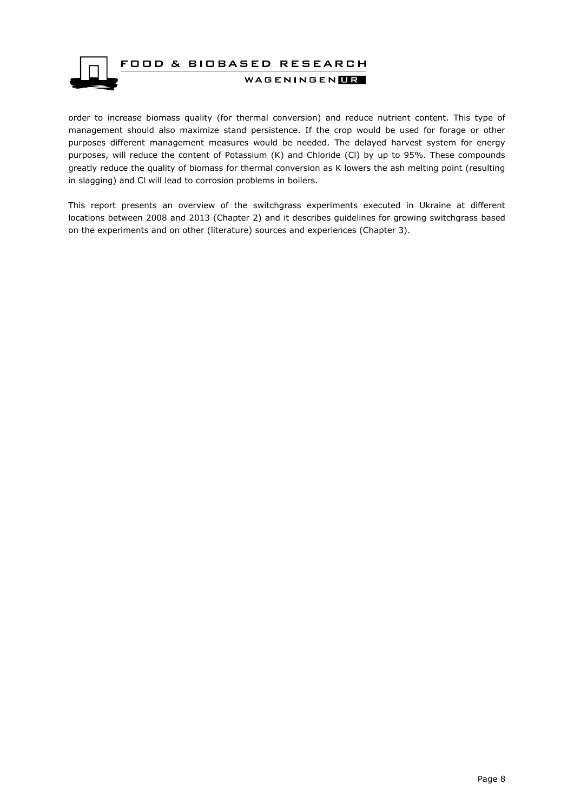

order to increase biomass quality (for thermal conversion) and reduce nutrient content. This type of management should also maximize stand persistence. If the crop would be used for forage or other purposes different management measures would be needed. The delayed harvest system for energy purposes, will reduce the content of Potassium (K) and Chloride (Cl) by up to 95%. These compounds greatly reduce the quality of biomass for thermal conversion as K lowers the ash melting point (resulting in slagging) and Cl will lead to corrosion problems in boilers.

This report presents an overview of the switchgrass experiments executed in Ukraine at different locations between 2008 and 2013 (Chapter 2) and it describes guidelines for growing switchgrass based on the experiments and on other (literature) sources and experiences (Chapter 3).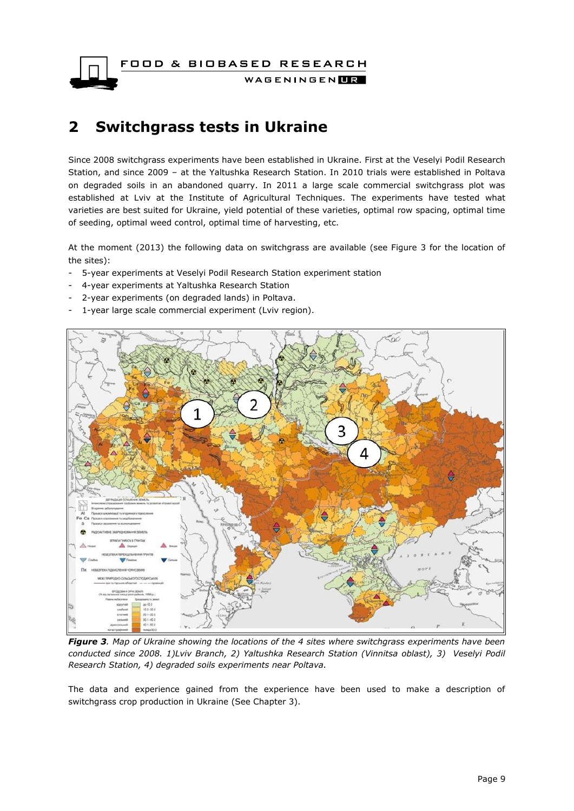FOOD & BIOBASED RESEARCH

WAGENINGENLIR

# <span id="page-8-0"></span>**2 Switchgrass tests in Ukraine**

Since 2008 switchgrass experiments have been established in Ukraine. First at the Veselyi Podil Research Station, and since 2009 – at the Yaltushka Research Station. In 2010 trials were established in Poltava on degraded soils in an abandoned quarry. In 2011 a large scale commercial switchgrass plot was established at Lviv at the Institute of Agricultural Techniques. The experiments have tested what varieties are best suited for Ukraine, yield potential of these varieties, optimal row spacing, optimal time of seeding, optimal weed control, optimal time of harvesting, etc.

At the moment (2013) the following data on switchgrass are available (see Figure 3 for the location of the sites):

- 5-year experiments at Veselyi Podil Research Station experiment station
- 4-year experiments at Yaltushka Research Station
- 2-year experiments (on degraded lands) in Poltava.
- 1-year large scale commercial experiment (Lviv region).



*Figure 3. Map of Ukraine showing the locations of the 4 sites where switchgrass experiments have been conducted since 2008. 1)Lviv Branch, 2) Yaltushka Research Station (Vinnitsa oblast), 3) Veselyi Podil Research Station, 4) degraded soils experiments near Poltava.*

The data and experience gained from the experience have been used to make a description of switchgrass crop production in Ukraine (See Chapter 3).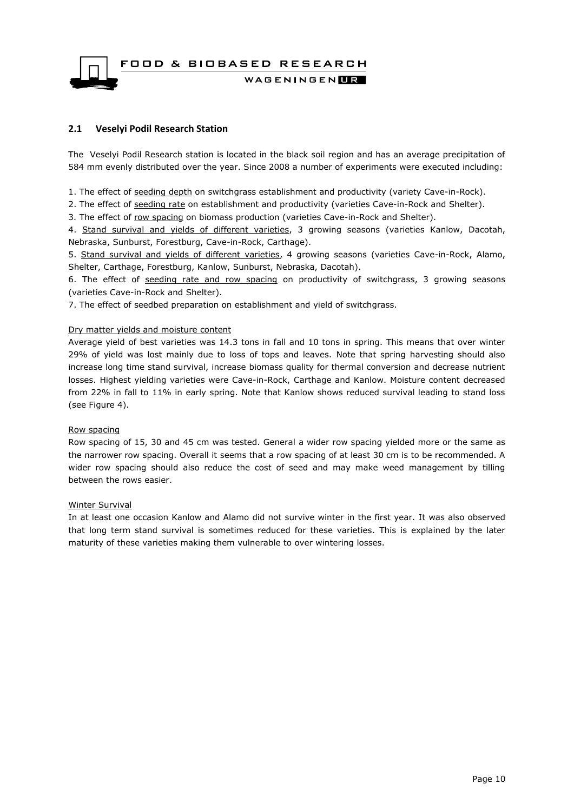FOOD & BIOBASED RESEARCH WAGENINGEN**LE** 

#### <span id="page-9-0"></span>**2.1 Veselyi Podil Research Station**

The Veselyi Podil Research station is located in the black soil region and has an average precipitation of 584 mm evenly distributed over the year. Since 2008 a number of experiments were executed including:

1. The effect of seeding depth on switchgrass establishment and productivity (variety Cave-in-Rock).

2. The effect of seeding rate on establishment and productivity (varieties Cave-in-Rock and Shelter).

3. The effect of row spacing on biomass production (varieties Cave-in-Rock and Shelter).

4. Stand survival and yields of different varieties, 3 growing seasons (varieties Kanlow, Dacotah, Nebraska, Sunburst, Forestburg, Cave-in-Rock, Carthage).

5. Stand survival and yields of different varieties, 4 growing seasons (varieties Cave-in-Rock, Alamo, Shelter, Carthage, Forestburg, Kanlow, Sunburst, Nebraska, Dacotah).

6. The effect of seeding rate and row spacing on productivity of switchgrass, 3 growing seasons (varieties Cave-in-Rock and Shelter).

7. The effect of seedbed preparation on establishment and yield of switchgrass.

#### Dry matter yields and moisture content

Average yield of best varieties was 14.3 tons in fall and 10 tons in spring. This means that over winter 29% of yield was lost mainly due to loss of tops and leaves. Note that spring harvesting should also increase long time stand survival, increase biomass quality for thermal conversion and decrease nutrient losses. Highest yielding varieties were Cave-in-Rock, Carthage and Kanlow. Moisture content decreased from 22% in fall to 11% in early spring. Note that Kanlow shows reduced survival leading to stand loss (see Figure 4).

#### Row spacing

Row spacing of 15, 30 and 45 cm was tested. General a wider row spacing yielded more or the same as the narrower row spacing. Overall it seems that a row spacing of at least 30 cm is to be recommended. A wider row spacing should also reduce the cost of seed and may make weed management by tilling between the rows easier.

#### Winter Survival

In at least one occasion Kanlow and Alamo did not survive winter in the first year. It was also observed that long term stand survival is sometimes reduced for these varieties. This is explained by the later maturity of these varieties making them vulnerable to over wintering losses.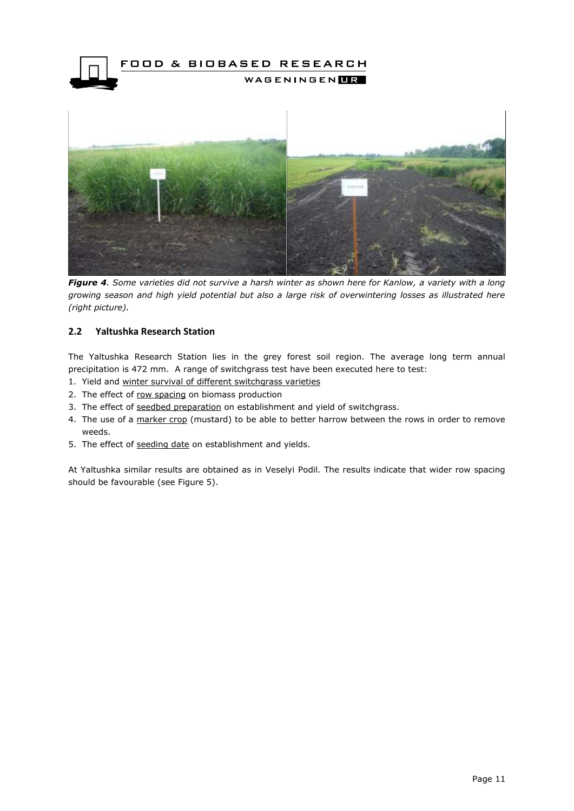



*Figure 4. Some varieties did not survive a harsh winter as shown here for Kanlow, a variety with a long growing season and high yield potential but also a large risk of overwintering losses as illustrated here (right picture).* 

#### <span id="page-10-0"></span>**2.2 Yaltushka Research Station**

The Yaltushka Research Station lies in the grey forest soil region. The average long term annual precipitation is 472 mm. A range of switchgrass test have been executed here to test:

- 1. Yield and winter survival of different switchgrass varieties
- 2. The effect of row spacing on biomass production
- 3. The effect of seedbed preparation on establishment and yield of switchgrass.
- 4. The use of a marker crop (mustard) to be able to better harrow between the rows in order to remove weeds.
- 5. The effect of seeding date on establishment and yields.

At Yaltushka similar results are obtained as in Veselyi Podil. The results indicate that wider row spacing should be favourable (see Figure 5).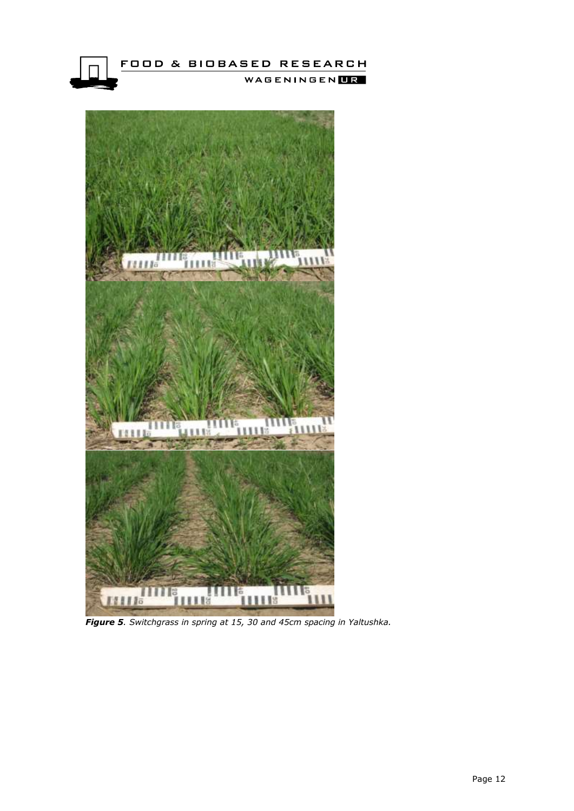



*Figure 5. Switchgrass in spring at 15, 30 and 45cm spacing in Yaltushka.*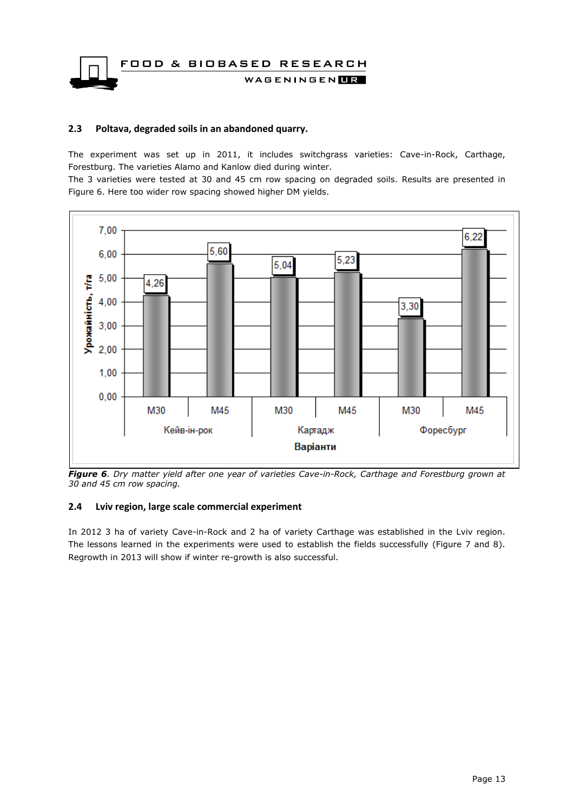FOOD & BIOBASED RESEARCH WAGENINGENLIR

#### <span id="page-12-0"></span>**2.3 Poltava, degraded soils in an abandoned quarry.**

The experiment was set up in 2011, it includes switchgrass varieties: Cave-in-Rock, Carthage, Forestburg. The varieties Alamo and Kanlow died during winter.

The 3 varieties were tested at 30 and 45 cm row spacing on degraded soils. Results are presented in Figure 6. Here too wider row spacing showed higher DM yields.



*Figure 6. Dry matter yield after one year of varieties Cave-in-Rock, Carthage and Forestburg grown at 30 and 45 cm row spacing.* 

#### <span id="page-12-1"></span>**2.4 Lviv region, large scale commercial experiment**

In 2012 3 ha of variety Cave-in-Rock and 2 ha of variety Carthage was established in the Lviv region. The lessons learned in the experiments were used to establish the fields successfully (Figure 7 and 8). Regrowth in 2013 will show if winter re-growth is also successful.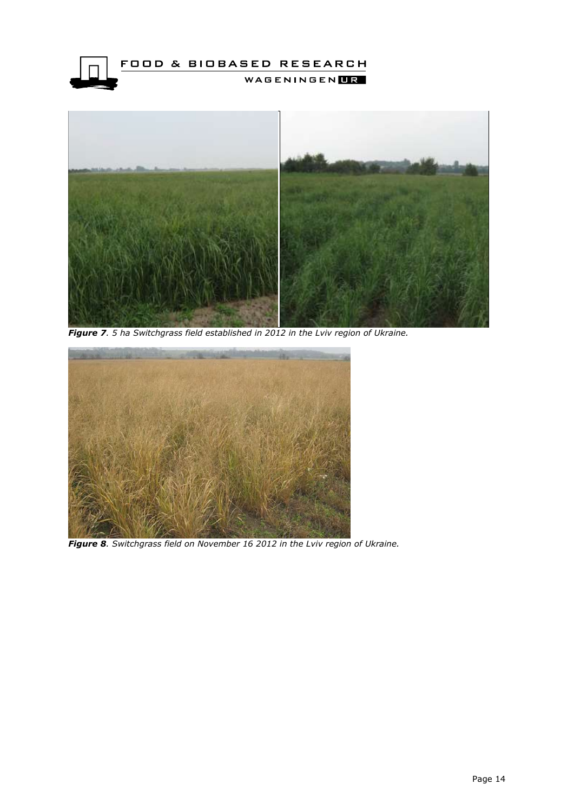



*Figure 7. 5 ha Switchgrass field established in 2012 in the Lviv region of Ukraine.* 



*Figure 8. Switchgrass field on November 16 2012 in the Lviv region of Ukraine.*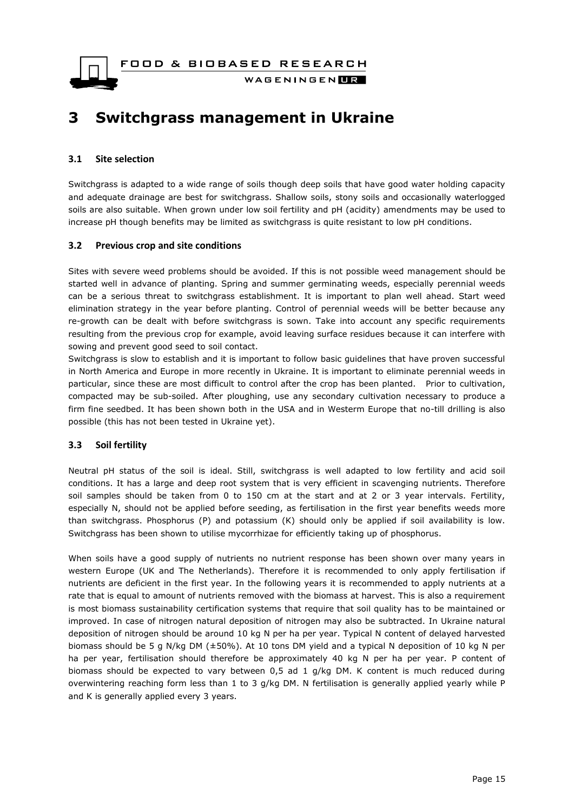FOOD & BIOBASED RESEARCH



WAGENINGENLIR

### <span id="page-14-0"></span>**3 Switchgrass management in Ukraine**

#### <span id="page-14-1"></span>**3.1 Site selection**

Switchgrass is adapted to a wide range of soils though deep soils that have good water holding capacity and adequate drainage are best for switchgrass. Shallow soils, stony soils and occasionally waterlogged soils are also suitable. When grown under low soil fertility and pH (acidity) amendments may be used to increase pH though benefits may be limited as switchgrass is quite resistant to low pH conditions.

#### <span id="page-14-2"></span>**3.2 Previous crop and site conditions**

Sites with severe weed problems should be avoided. If this is not possible weed management should be started well in advance of planting. Spring and summer germinating weeds, especially perennial weeds can be a serious threat to switchgrass establishment. It is important to plan well ahead. Start weed elimination strategy in the year before planting. Control of perennial weeds will be better because any re-growth can be dealt with before switchgrass is sown. Take into account any specific requirements resulting from the previous crop for example, avoid leaving surface residues because it can interfere with sowing and prevent good seed to soil contact.

Switchgrass is slow to establish and it is important to follow basic guidelines that have proven successful in North America and Europe in more recently in Ukraine. It is important to eliminate perennial weeds in particular, since these are most difficult to control after the crop has been planted. Prior to cultivation, compacted may be sub-soiled. After ploughing, use any secondary cultivation necessary to produce a firm fine seedbed. It has been shown both in the USA and in Westerm Europe that no-till drilling is also possible (this has not been tested in Ukraine yet).

#### <span id="page-14-3"></span>**3.3 Soil fertility**

Neutral pH status of the soil is ideal. Still, switchgrass is well adapted to low fertility and acid soil conditions. It has a large and deep root system that is very efficient in scavenging nutrients. Therefore soil samples should be taken from 0 to 150 cm at the start and at 2 or 3 year intervals. Fertility, especially N, should not be applied before seeding, as fertilisation in the first year benefits weeds more than switchgrass. Phosphorus (P) and potassium (K) should only be applied if soil availability is low. Switchgrass has been shown to utilise mycorrhizae for efficiently taking up of phosphorus.

When soils have a good supply of nutrients no nutrient response has been shown over many years in western Europe (UK and The Netherlands). Therefore it is recommended to only apply fertilisation if nutrients are deficient in the first year. In the following years it is recommended to apply nutrients at a rate that is equal to amount of nutrients removed with the biomass at harvest. This is also a requirement is most biomass sustainability certification systems that require that soil quality has to be maintained or improved. In case of nitrogen natural deposition of nitrogen may also be subtracted. In Ukraine natural deposition of nitrogen should be around 10 kg N per ha per year. Typical N content of delayed harvested biomass should be 5 g N/kg DM (±50%). At 10 tons DM yield and a typical N deposition of 10 kg N per ha per year, fertilisation should therefore be approximately 40 kg N per ha per year. P content of biomass should be expected to vary between 0,5 ad 1 g/kg DM. K content is much reduced during overwintering reaching form less than 1 to 3 g/kg DM. N fertilisation is generally applied yearly while P and K is generally applied every 3 years.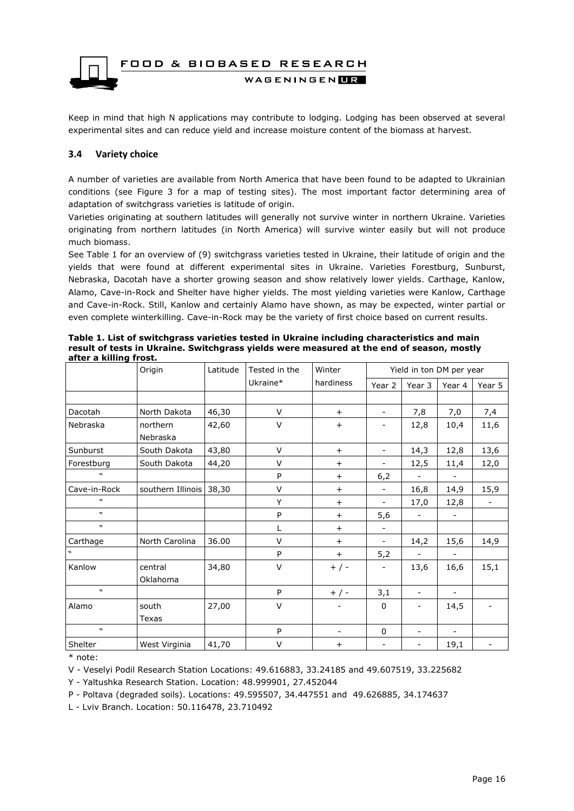

Keep in mind that high N applications may contribute to lodging. Lodging has been observed at several experimental sites and can reduce yield and increase moisture content of the biomass at harvest.

#### <span id="page-15-0"></span>**3.4 Variety choice**

A number of varieties are available from North America that have been found to be adapted to Ukrainian conditions (see Figure 3 for a map of testing sites). The most important factor determining area of adaptation of switchgrass varieties is latitude of origin.

Varieties originating at southern latitudes will generally not survive winter in northern Ukraine. Varieties originating from northern latitudes (in North America) will survive winter easily but will not produce much biomass.

See Table 1 for an overview of (9) switchgrass varieties tested in Ukraine, their latitude of origin and the yields that were found at different experimental sites in Ukraine. Varieties Forestburg, Sunburst, Nebraska, Dacotаh have a shorter growing season and show relatively lower yields. Carthage, Kanlow, Alamo, Cave-in-Rock and Shelter have higher yields. The most yielding varieties were Kanlow, Carthage and Cave-in-Rock. Still, Kanlow and certainly Alamo have shown, as may be expected, winter partial or even complete winterkilling. Cave-in-Rock may be the variety of first choice based on current results.

|                            | Origin            | Latitude | Tested in the | Winter                   | Yield in ton DM per year |                          |                          |        |
|----------------------------|-------------------|----------|---------------|--------------------------|--------------------------|--------------------------|--------------------------|--------|
|                            |                   |          | Ukraine*      | hardiness                | Year 2                   | Year 3                   | Year 4                   | Year 5 |
|                            |                   |          |               |                          |                          |                          |                          |        |
| Dacotah                    | North Dakota      | 46,30    | V             | $+$                      | $\overline{\phantom{a}}$ | 7,8                      | 7,0                      | 7,4    |
| Nebraska                   | northern          | 42,60    | V             | $\ddot{}$                | $\overline{\phantom{a}}$ | 12,8                     | 10,4                     | 11,6   |
|                            | Nebraska          |          |               |                          |                          |                          |                          |        |
| Sunburst                   | South Dakota      | 43,80    | V             | $\ddot{}$                | $\overline{\phantom{a}}$ | 14,3                     | 12,8                     | 13,6   |
| Forestburg                 | South Dakota      | 44,20    | V             | $\ddot{}$                | $\overline{\phantom{a}}$ | 12,5                     | 11,4                     | 12,0   |
| $\boldsymbol{u}$           |                   |          | P             | $\ddot{}$                | 6,2                      |                          |                          |        |
| Cave-in-Rock               | southern Illinois | 38,30    | V             | $\ddot{}$                | $\overline{\phantom{a}}$ | 16,8                     | 14,9                     | 15,9   |
| W                          |                   |          | Y             | $\ddot{}$                | $\overline{\phantom{a}}$ | 17,0                     | 12,8                     |        |
| $\boldsymbol{v}$           |                   |          | P             | $+$                      | 5,6                      |                          |                          |        |
| $\boldsymbol{u}$           |                   |          | L             | $\ddot{}$                | $\blacksquare$           |                          |                          |        |
| Carthage                   | North Carolina    | 36.00    | V             | $\ddot{}$                | $\overline{\phantom{a}}$ | 14,2                     | 15,6                     | 14,9   |
| $\boldsymbol{u}$           |                   |          | P             | $+$                      | 5,2                      |                          |                          |        |
| Kanlow                     | central           | 34,80    | V             | $+$ / -                  | $\overline{\phantom{a}}$ | 13,6                     | 16,6                     | 15,1   |
|                            | Oklahoma          |          |               |                          |                          |                          |                          |        |
| $\boldsymbol{\mathcal{U}}$ |                   |          | P             | $+$ / -                  | 3,1                      | $\overline{\phantom{a}}$ | $\blacksquare$           |        |
| Alamo                      | south             | 27,00    | V             |                          | $\mathbf 0$              | $\overline{\phantom{a}}$ | 14,5                     |        |
|                            | Texas             |          |               |                          |                          |                          |                          |        |
| $\boldsymbol{\mathcal{U}}$ |                   |          | P             | $\overline{\phantom{a}}$ | 0                        | $\overline{\phantom{a}}$ | $\overline{\phantom{a}}$ |        |
| Shelter                    | West Virginia     | 41,70    | V             | $\ddot{}$                | $\overline{\phantom{a}}$ | $\overline{\phantom{a}}$ | 19,1                     |        |

**Table 1. List of switchgrass varieties tested in Ukraine including characteristics and main result of tests in Ukraine. Switchgrass yields were measured at the end of season, mostly after a killing frost.**

\* note:

V - Veselyi Podil Research Station Locations: 49.616883, 33.24185 and 49.607519, 33.225682

Y - Yaltushka Research Station. Location: 48.999901, 27.452044

P - Poltava (degraded soils). Locations: 49.595507, 34.447551 and 49.626885, 34.174637

L - Lviv Branch. Location: 50.116478, 23.710492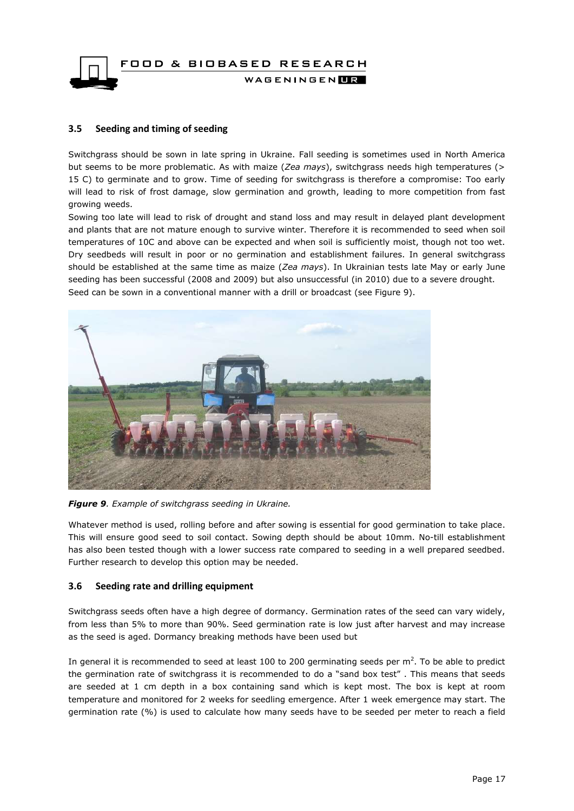

#### <span id="page-16-0"></span>**3.5 Seeding and timing of seeding**

Switchgrass should be sown in late spring in Ukraine. Fall seeding is sometimes used in North America but seems to be more problematic. As with maize (*Zea mays*), switchgrass needs high temperatures (> 15 C) to germinate and to grow. Time of seeding for switchgrass is therefore a compromise: Too early will lead to risk of frost damage, slow germination and growth, leading to more competition from fast growing weeds.

Sowing too late will lead to risk of drought and stand loss and may result in delayed plant development and plants that are not mature enough to survive winter. Therefore it is recommended to seed when soil temperatures of 10C and above can be expected and when soil is sufficiently moist, though not too wet. Dry seedbeds will result in poor or no germination and establishment failures. In general switchgrass should be established at the same time as maize (*Zea mays*). In Ukrainian tests late May or early June seeding has been successful (2008 and 2009) but also unsuccessful (in 2010) due to a severe drought. Seed can be sown in a conventional manner with a drill or broadcast (see Figure 9).



*Figure 9. Example of switchgrass seeding in Ukraine.* 

Whatever method is used, rolling before and after sowing is essential for good germination to take place. This will ensure good seed to soil contact. Sowing depth should be about 10mm. No-till establishment has also been tested though with a lower success rate compared to seeding in a well prepared seedbed. Further research to develop this option may be needed.

#### <span id="page-16-1"></span>**3.6 Seeding rate and drilling equipment**

Switchgrass seeds often have a high degree of dormancy. Germination rates of the seed can vary widely, from less than 5% to more than 90%. Seed germination rate is low just after harvest and may increase as the seed is aged. Dormancy breaking methods have been used but

In general it is recommended to seed at least 100 to 200 germinating seeds per  $m^2$ . To be able to predict the germination rate of switchgrass it is recommended to do a "sand box test" . This means that seeds are seeded at 1 cm depth in a box containing sand which is kept most. The box is kept at room temperature and monitored for 2 weeks for seedling emergence. After 1 week emergence may start. The germination rate (%) is used to calculate how many seeds have to be seeded per meter to reach a field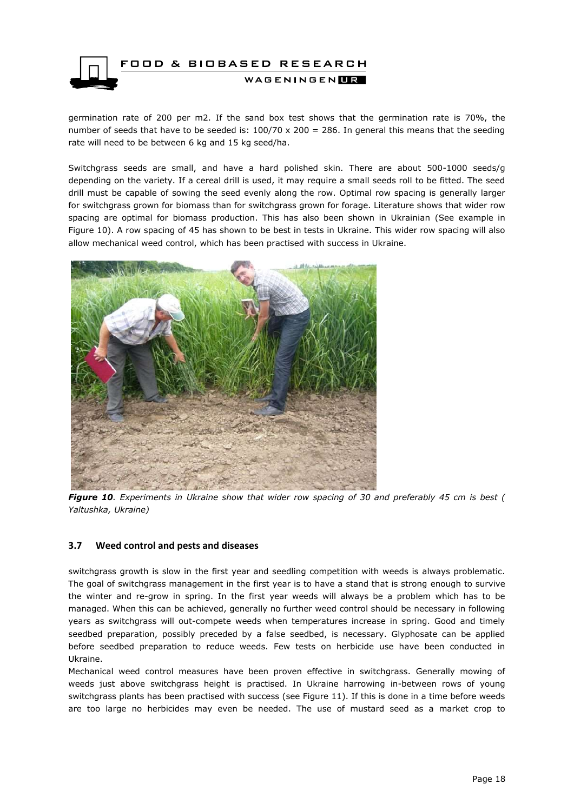

germination rate of 200 per m2. If the sand box test shows that the germination rate is 70%, the number of seeds that have to be seeded is:  $100/70 \times 200 = 286$ . In general this means that the seeding rate will need to be between 6 kg and 15 kg seed/ha.

Switchgrass seeds are small, and have a hard polished skin. There are about 500-1000 seeds/g depending on the variety. If a cereal drill is used, it may require a small seeds roll to be fitted. The seed drill must be capable of sowing the seed evenly along the row. Optimal row spacing is generally larger for switchgrass grown for biomass than for switchgrass grown for forage. Literature shows that wider row spacing are optimal for biomass production. This has also been shown in Ukrainian (See example in Figure 10). A row spacing of 45 has shown to be best in tests in Ukraine. This wider row spacing will also allow mechanical weed control, which has been practised with success in Ukraine.



*Figure 10. Experiments in Ukraine show that wider row spacing of 30 and preferably 45 cm is best ( Yaltushka, Ukraine)*

#### <span id="page-17-0"></span>**3.7 Weed control and pests and diseases**

switchgrass growth is slow in the first year and seedling competition with weeds is always problematic. The goal of switchgrass management in the first year is to have a stand that is strong enough to survive the winter and re-grow in spring. In the first year weeds will always be a problem which has to be managed. When this can be achieved, generally no further weed control should be necessary in following years as switchgrass will out-compete weeds when temperatures increase in spring. Good and timely seedbed preparation, possibly preceded by a false seedbed, is necessary. Glyphosate can be applied before seedbed preparation to reduce weeds. Few tests on herbicide use have been conducted in Ukraine.

Mechanical weed control measures have been proven effective in switchgrass. Generally mowing of weeds just above switchgrass height is practised. In Ukraine harrowing in-between rows of young switchgrass plants has been practised with success (see Figure 11). If this is done in a time before weeds are too large no herbicides may even be needed. The use of mustard seed as a market crop to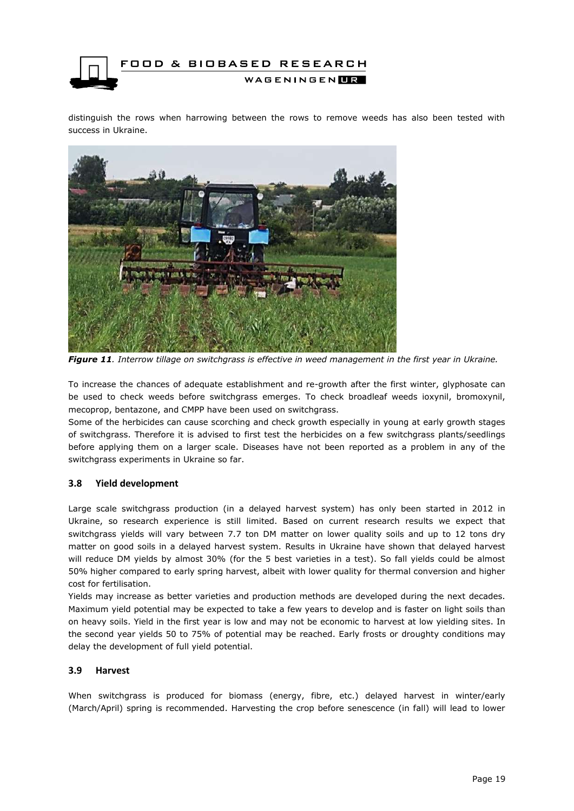

distinguish the rows when harrowing between the rows to remove weeds has also been tested with success in Ukraine.



*Figure 11. Interrow tillage on switchgrass is effective in weed management in the first year in Ukraine.*

To increase the chances of adequate establishment and re-growth after the first winter, glyphosate can be used to check weeds before switchgrass emerges. To check broadleaf weeds ioxynil, bromoxynil, mecoprop, bentazone, and CMPP have been used on switchgrass.

Some of the herbicides can cause scorching and check growth especially in young at early growth stages of switchgrass. Therefore it is advised to first test the herbicides on a few switchgrass plants/seedlings before applying them on a larger scale. Diseases have not been reported as a problem in any of the switchgrass experiments in Ukraine so far.

#### <span id="page-18-0"></span>**3.8 Yield development**

Large scale switchgrass production (in a delayed harvest system) has only been started in 2012 in Ukraine, so research experience is still limited. Based on current research results we expect that switchgrass yields will vary between 7.7 ton DM matter on lower quality soils and up to 12 tons dry matter on good soils in a delayed harvest system. Results in Ukraine have shown that delayed harvest will reduce DM yields by almost 30% (for the 5 best varieties in a test). So fall yields could be almost 50% higher compared to early spring harvest, albeit with lower quality for thermal conversion and higher cost for fertilisation.

Yields may increase as better varieties and production methods are developed during the next decades. Maximum yield potential may be expected to take a few years to develop and is faster on light soils than on heavy soils. Yield in the first year is low and may not be economic to harvest at low yielding sites. In the second year yields 50 to 75% of potential may be reached. Early frosts or droughty conditions may delay the development of full yield potential.

#### <span id="page-18-1"></span>**3.9 Harvest**

When switchgrass is produced for biomass (energy, fibre, etc.) delayed harvest in winter/early (March/April) spring is recommended. Harvesting the crop before senescence (in fall) will lead to lower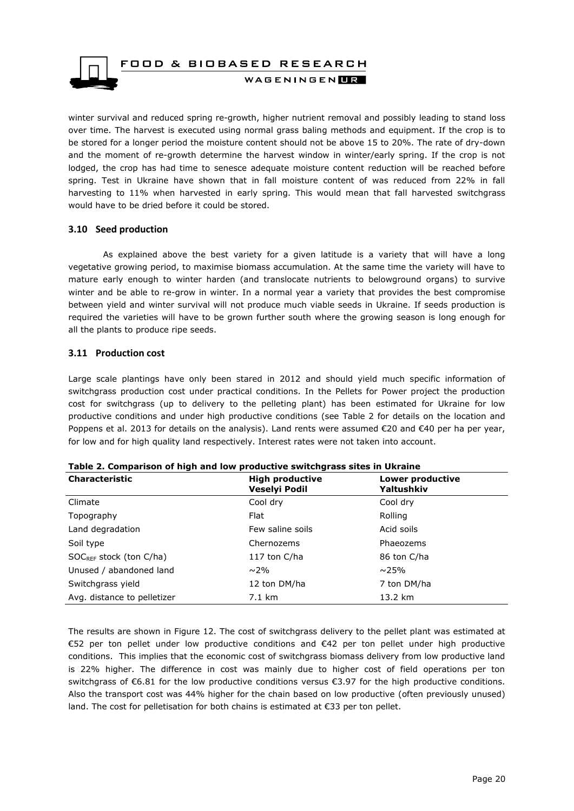

winter survival and reduced spring re-growth, higher nutrient removal and possibly leading to stand loss over time. The harvest is executed using normal grass baling methods and equipment. If the crop is to be stored for a longer period the moisture content should not be above 15 to 20%. The rate of dry-down and the moment of re-growth determine the harvest window in winter/early spring. If the crop is not lodged, the crop has had time to senesce adequate moisture content reduction will be reached before spring. Test in Ukraine have shown that in fall moisture content of was reduced from 22% in fall harvesting to 11% when harvested in early spring. This would mean that fall harvested switchgrass would have to be dried before it could be stored.

#### <span id="page-19-0"></span>**3.10 Seed production**

As explained above the best variety for a given latitude is a variety that will have a long vegetative growing period, to maximise biomass accumulation. At the same time the variety will have to mature early enough to winter harden (and translocate nutrients to belowground organs) to survive winter and be able to re-grow in winter. In a normal year a variety that provides the best compromise between yield and winter survival will not produce much viable seeds in Ukraine. If seeds production is required the varieties will have to be grown further south where the growing season is long enough for all the plants to produce ripe seeds.

#### <span id="page-19-1"></span>**3.11 Production cost**

Large scale plantings have only been stared in 2012 and should yield much specific information of switchgrass production cost under practical conditions. In the Pellets for Power project the production cost for switchgrass (up to delivery to the pelleting plant) has been estimated for Ukraine for low productive conditions and under high productive conditions (see Table 2 for details on the location and Poppens et al. 2013 for details on the analysis). Land rents were assumed €20 and €40 per ha per year, for low and for high quality land respectively. Interest rates were not taken into account.

| <b>Characteristic</b>        | <b>High productive</b><br><b>Veselyi Podil</b> | Lower productive<br>Yaltushkiv |
|------------------------------|------------------------------------------------|--------------------------------|
| Climate                      | Cool dry                                       | Cool dry                       |
| Topography                   | Flat                                           | Rolling                        |
| Land degradation             | Few saline soils                               | Acid soils                     |
| Soil type                    | Chernozems                                     | Phaeozems                      |
| $SOC_{REF}$ stock (ton C/ha) | 117 ton C/ha                                   | 86 ton C/ha                    |
| Unused / abandoned land      | $\sim$ 2%                                      | $\sim$ 25%                     |
| Switchgrass yield            | 12 ton DM/ha                                   | 7 ton DM/ha                    |
| Avg. distance to pelletizer  | $7.1 \text{ km}$                               | 13.2 km                        |

The results are shown in Figure 12. The cost of switchgrass delivery to the pellet plant was estimated at €52 per ton pellet under low productive conditions and €42 per ton pellet under high productive conditions. This implies that the economic cost of switchgrass biomass delivery from low productive land is 22% higher. The difference in cost was mainly due to higher cost of field operations per ton switchgrass of  $\epsilon$ 6.81 for the low productive conditions versus  $\epsilon$ 3.97 for the high productive conditions. Also the transport cost was 44% higher for the chain based on low productive (often previously unused) land. The cost for pelletisation for both chains is estimated at €33 per ton pellet.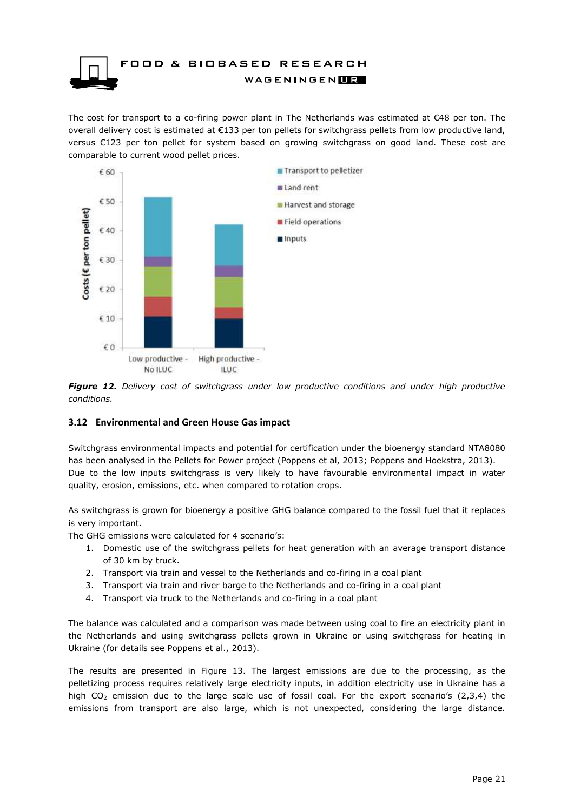

The cost for transport to a co-firing power plant in The Netherlands was estimated at  $\epsilon$ 48 per ton. The overall delivery cost is estimated at €133 per ton pellets for switchgrass pellets from low productive land, versus €123 per ton pellet for system based on growing switchgrass on good land. These cost are comparable to current wood pellet prices.



*Figure 12. Delivery cost of switchgrass under low productive conditions and under high productive conditions.* 

#### <span id="page-20-0"></span>**3.12 Environmental and Green House Gas impact**

Switchgrass environmental impacts and potential for certification under the bioenergy standard NTA8080 has been analysed in the Pellets for Power project (Poppens et al, 2013; Poppens and Hoekstra, 2013). Due to the low inputs switchgrass is very likely to have favourable environmental impact in water quality, erosion, emissions, etc. when compared to rotation crops.

As switchgrass is grown for bioenergy a positive GHG balance compared to the fossil fuel that it replaces is very important.

The GHG emissions were calculated for 4 scenario's:

- 1. Domestic use of the switchgrass pellets for heat generation with an average transport distance of 30 km by truck.
- 2. Transport via train and vessel to the Netherlands and co-firing in a coal plant
- 3. Transport via train and river barge to the Netherlands and co-firing in a coal plant
- 4. Transport via truck to the Netherlands and co-firing in a coal plant

The balance was calculated and a comparison was made between using coal to fire an electricity plant in the Netherlands and using switchgrass pellets grown in Ukraine or using switchgrass for heating in Ukraine (for details see Poppens et al., 2013).

The results are presented in Figure 13. The largest emissions are due to the processing, as the pelletizing process requires relatively large electricity inputs, in addition electricity use in Ukraine has a high CO<sub>2</sub> emission due to the large scale use of fossil coal. For the export scenario's (2,3,4) the emissions from transport are also large, which is not unexpected, considering the large distance.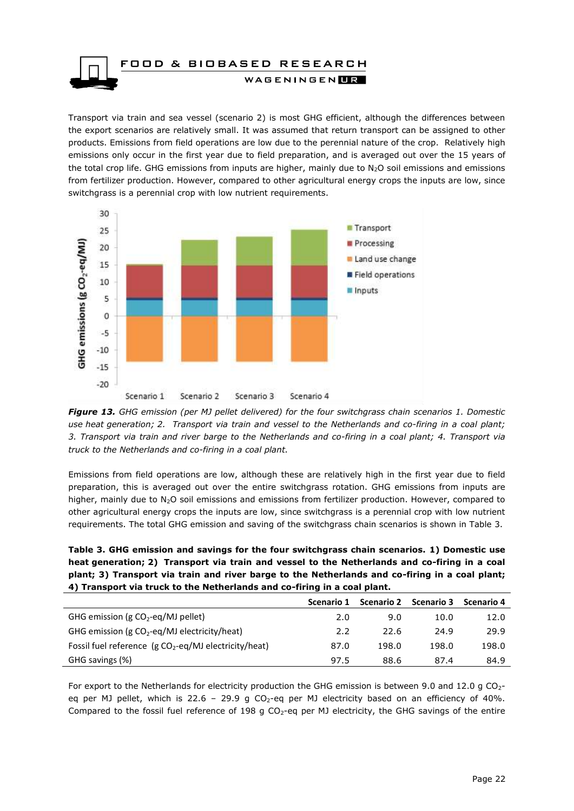

Transport via train and sea vessel (scenario 2) is most GHG efficient, although the differences between the export scenarios are relatively small. It was assumed that return transport can be assigned to other products. Emissions from field operations are low due to the perennial nature of the crop. Relatively high emissions only occur in the first year due to field preparation, and is averaged out over the 15 years of the total crop life. GHG emissions from inputs are higher, mainly due to  $N_2O$  soil emissions and emissions from fertilizer production. However, compared to other agricultural energy crops the inputs are low, since switchgrass is a perennial crop with low nutrient requirements.



*Figure 13. GHG emission (per MJ pellet delivered) for the four switchgrass chain scenarios 1. Domestic use heat generation; 2. Transport via train and vessel to the Netherlands and co-firing in a coal plant; 3. Transport via train and river barge to the Netherlands and co-firing in a coal plant; 4. Transport via truck to the Netherlands and co-firing in a coal plant.*

Emissions from field operations are low, although these are relatively high in the first year due to field preparation, this is averaged out over the entire switchgrass rotation. GHG emissions from inputs are higher, mainly due to N<sub>2</sub>O soil emissions and emissions from fertilizer production. However, compared to other agricultural energy crops the inputs are low, since switchgrass is a perennial crop with low nutrient requirements. The total GHG emission and saving of the switchgrass chain scenarios is shown in Table 3.

**Table 3. GHG emission and savings for the four switchgrass chain scenarios. 1) Domestic use heat generation; 2) Transport via train and vessel to the Netherlands and co-firing in a coal plant; 3) Transport via train and river barge to the Netherlands and co-firing in a coal plant; 4) Transport via truck to the Netherlands and co-firing in a coal plant.**

|                                                        | Scenario 1 | <b>Scenario 2</b> | <b>Scenario 3</b> | Scenario 4 |
|--------------------------------------------------------|------------|-------------------|-------------------|------------|
| GHG emission (g $CO_2$ -eq/MJ pellet)                  | 2.0        | 9.0               | 10.0              | 12.0       |
| GHG emission (g $CO_2$ -eq/MJ electricity/heat)        | 2.2        | 22.6              | 24.9              | 29.9       |
| Fossil fuel reference $(g CO2-eq/MJ$ electricity/heat) | 87.0       | 198.0             | 198.0             | 198.0      |
| GHG savings (%)                                        | 97.5       | 88.6              | 87.4              | 84.9       |

For export to the Netherlands for electricity production the GHG emission is between 9.0 and 12.0 g  $CO<sub>2</sub>$ eq per MJ pellet, which is 22.6 - 29.9 g CO<sub>2</sub>-eq per MJ electricity based on an efficiency of 40%. Compared to the fossil fuel reference of 198 g  $CO<sub>2</sub>$ -eq per MJ electricity, the GHG savings of the entire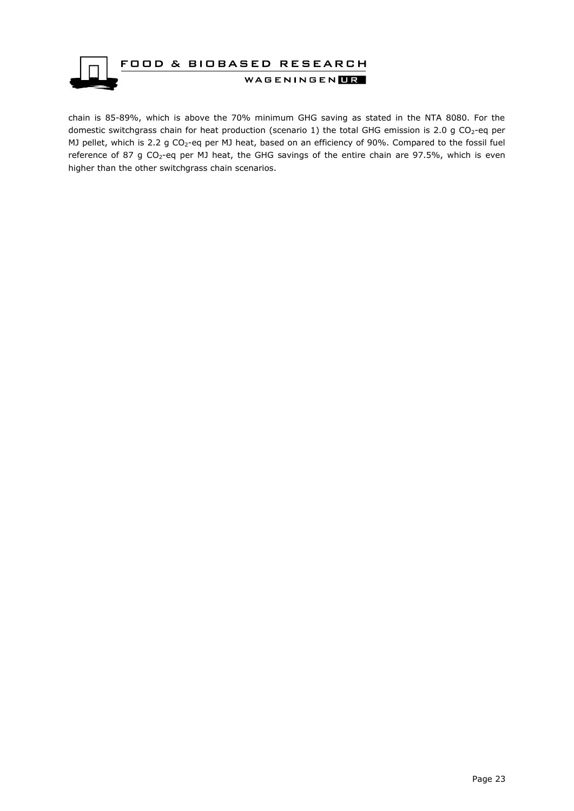

chain is 85-89%, which is above the 70% minimum GHG saving as stated in the NTA 8080. For the domestic switchgrass chain for heat production (scenario 1) the total GHG emission is 2.0 g CO<sub>2</sub>-eq per MJ pellet, which is 2.2 g CO<sub>2</sub>-eq per MJ heat, based on an efficiency of 90%. Compared to the fossil fuel reference of 87 g CO<sub>2</sub>-eq per MJ heat, the GHG savings of the entire chain are 97.5%, which is even higher than the other switchgrass chain scenarios.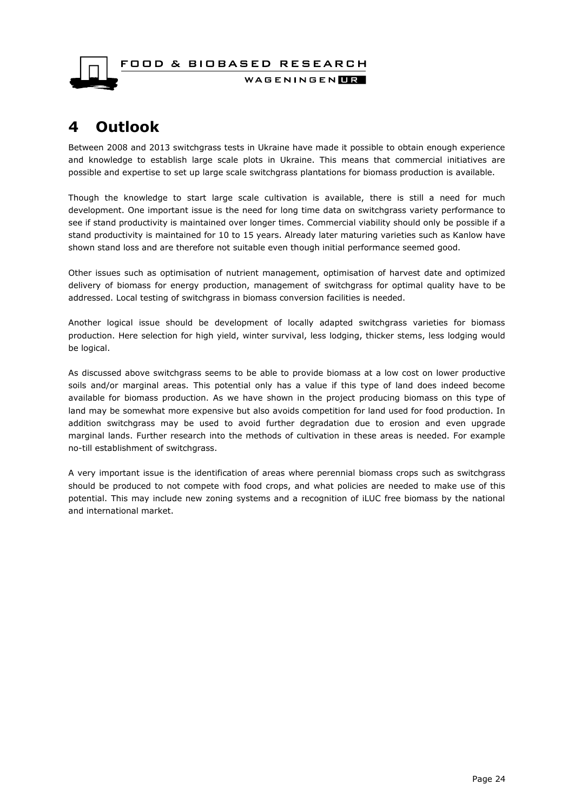

# <span id="page-23-0"></span>**4 Outlook**

Between 2008 and 2013 switchgrass tests in Ukraine have made it possible to obtain enough experience and knowledge to establish large scale plots in Ukraine. This means that commercial initiatives are possible and expertise to set up large scale switchgrass plantations for biomass production is available.

Though the knowledge to start large scale cultivation is available, there is still a need for much development. One important issue is the need for long time data on switchgrass variety performance to see if stand productivity is maintained over longer times. Commercial viability should only be possible if a stand productivity is maintained for 10 to 15 years. Already later maturing varieties such as Kanlow have shown stand loss and are therefore not suitable even though initial performance seemed good.

Other issues such as optimisation of nutrient management, optimisation of harvest date and optimized delivery of biomass for energy production, management of switchgrass for optimal quality have to be addressed. Local testing of switchgrass in biomass conversion facilities is needed.

Another logical issue should be development of locally adapted switchgrass varieties for biomass production. Here selection for high yield, winter survival, less lodging, thicker stems, less lodging would be logical.

As discussed above switchgrass seems to be able to provide biomass at a low cost on lower productive soils and/or marginal areas. This potential only has a value if this type of land does indeed become available for biomass production. As we have shown in the project producing biomass on this type of land may be somewhat more expensive but also avoids competition for land used for food production. In addition switchgrass may be used to avoid further degradation due to erosion and even upgrade marginal lands. Further research into the methods of cultivation in these areas is needed. For example no-till establishment of switchgrass.

A very important issue is the identification of areas where perennial biomass crops such as switchgrass should be produced to not compete with food crops, and what policies are needed to make use of this potential. This may include new zoning systems and a recognition of iLUC free biomass by the national and international market.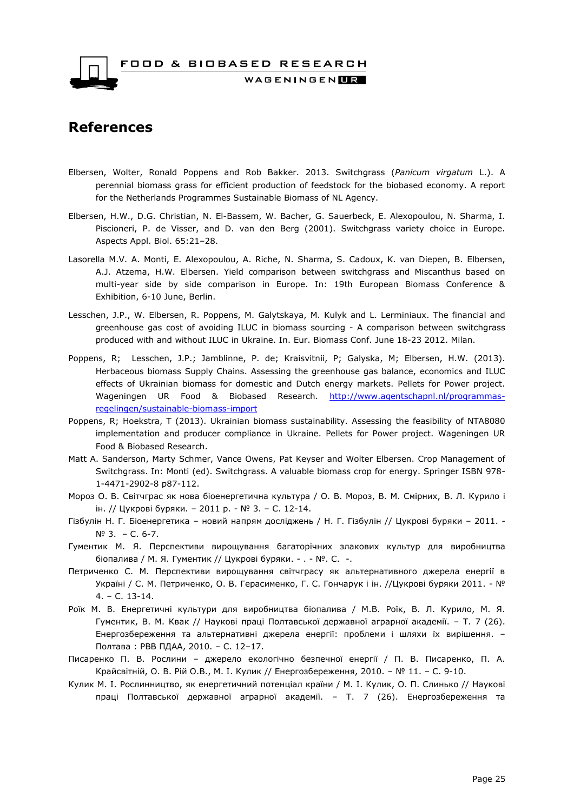FOOD & BIOBASED RESEARCH



WAGENINGEN**HR** 

### <span id="page-24-0"></span>**References**

- Elbersen, Wolter, Ronald Poppens and Rob Bakker. 2013. Switchgrass (*Panicum virgatum* L.). A perennial biomass grass for efficient production of feedstock for the biobased economy. A report for the Netherlands Programmes Sustainable Biomass of NL Agency.
- Elbersen, H.W., D.G. Christian, N. El-Bassem, W. Bacher, G. Sauerbeck, E. Alexopoulou, N. Sharma, I. Piscioneri, P. de Visser, and D. van den Berg (2001). Switchgrass variety choice in Europe. Aspects Appl. Biol. 65:21–28.
- Lasorella M.V. A. Monti, E. Alexopoulou, A. Riche, N. Sharma, S. Cadoux, K. van Diepen, B. Elbersen, A.J. Atzema, H.W. Elbersen. Yield comparison between switchgrass and Miscanthus based on multi-year side by side comparison in Europe. In: 19th European Biomass Conference & Exhibition, 6-10 June, Berlin.
- Lesschen, J.P., W. Elbersen, R. Poppens, M. Galytskaya, M. Kulyk and L. Lerminiaux. The financial and greenhouse gas cost of avoiding ILUC in biomass sourcing - A comparison between switchgrass produced with and without ILUC in Ukraine. In. Eur. Biomass Conf. June 18-23 2012. Milan.
- Poppens, R; Lesschen, J.P.; Jamblinne, P. de; Kraisvitnii, P; Galyska, M; Elbersen, H.W. (2013). Herbaceous biomass Supply Chains. Assessing the greenhouse gas balance, economics and ILUC effects of Ukrainian biomass for domestic and Dutch energy markets. Pellets for Power project. Wageningen UR Food & Biobased Research. [http://www.agentschapnl.nl/programmas](http://www.agentschapnl.nl/programmas-regelingen/sustainable-biomass-import)[regelingen/sustainable-biomass-import](http://www.agentschapnl.nl/programmas-regelingen/sustainable-biomass-import)
- Poppens, R; Hoekstra, T (2013). Ukrainian biomass sustainability. Assessing the feasibility of NTA8080 implementation and producer compliance in Ukraine. Pellets for Power project. Wageningen UR Food & Biobased Research.
- Matt A. Sanderson, Marty Schmer, Vance Owens, Pat Keyser and Wolter Elbersen. Crop Management of Switchgrass. In: Monti (ed). Switchgrass. A valuable biomass crop for energy. Springer ISBN 978- 1-4471-2902-8 p87-112.
- Мороз О. В. Світчграс як нова біоенергетична культура / О. В. Мороз, В. М. Смірних, В. Л. Курило і ін. // Цукрові буряки. – 2011 р. - № 3. – С. 12-14.
- Гізбулін Н. Г. Біоенергетика новий напрям досліджень / Н. Г. Гізбулін // Цукрові буряки 2011. № 3. – С. 6-7.
- Гументик М. Я. Перспективи вирощування багаторічних злакових культур для виробництва біопалива / М. Я. Гументик // Цукрові буряки. - . - №. С. -.
- Петриченко С. М. Перспективи вирощування світчграсу як альтернативного джерела енергії в Україні / С. М. Петриченко, О. В. Герасименко, Г. С. Гончарук і ін. //Цукрові буряки 2011. - № 4. – С. 13-14.
- Роїк М. В. Енергетичні культури для виробництва біопалива / М.В. Роїк, В. Л. Курило, М. Я. Гументик, В. М. Квак // Наукові праці Полтавської державної аграрної академії. – Т. 7 (26). Енергозбереження та альтернативні джерела енергії: проблеми і шляхи їх вирішення. – Полтава : РВВ ПДАА, 2010. – С. 12–17.
- Писаренко П. В. Рослини джерело екологічно безпечної енергії / П. В. Писаренко, П. А. Крайсвітній, О. В. Рій О.В., М. І. Кулик // Енергозбереження, 2010. – № 11. – С. 9-10.
- Кулик М. І. Рослинництво, як енергетичний потенціал країни / М. І. Кулик, О. П. Слинько // Наукові праці Полтавської державної аграрної академії. – Т. 7 (26). Енергозбереження та